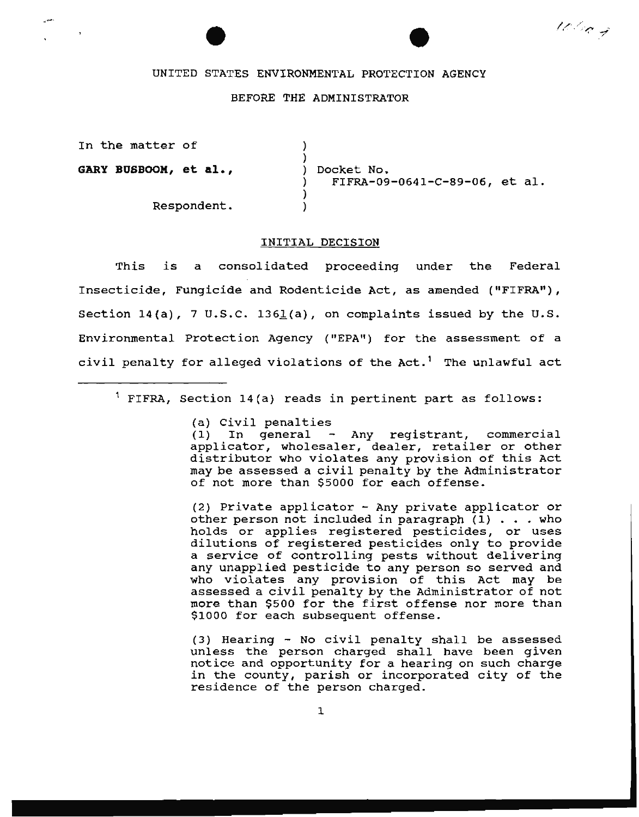# 100 kg

#### UNITED STATES ENVIRONMENTAL PROTECTION AGENCY

## BEFORE THE ADMINISTRATOR

)

In the matter of

**GARY BUSBOOM, et al.,** 

Respondent.

) ) Docket No. ) FIFRA-09-0641-C-89-06, et al. ) )

#### INITIAL DECISION

This is a consolidated proceeding under the Federal Insecticide, Fungicide and Rodenticide Act, as amended ("FIFRA"), Section  $14(a)$ , 7 U.S.C. 1361(a), on complaints issued by the U.S. Environmental Protection Agency ("EPA") for the assessment of a civil penalty for alleged violations of the  $Act.$ <sup>1</sup> The unlawful act

 $1$  FIFRA, Section 14(a) reads in pertinent part as follows:

(a) Civil penalties

 $(1)$  In general - Any registrant, commercial applicator, wholesaler, dealer, retailer or other distributor who violates any provision of this Act may be assessed a civil penalty by the Administrator of not more than \$5000 for each offense.

(2) Private applicator - Any private applicator or other person not included in paragraph (l) ... who other person not included in paragraph  $(1)$  . . . who holds or applies registered pesticides, or uses dilutions of registered pesticides only to provide a service of controlling pests without delivering any unapplied pesticide to any person so served and who violates any provision of this Act may be assessed a civil penalty by the Administrator of not more than \$500 for the first offense nor more than \$1000 for each subsequent offense.

(3) Hearing - No civil penalty shall be assessed unless the person charged shall have been given notice and opportunity for a hearing on such charge in the county, parish or incorporated city of the residence of the person charged.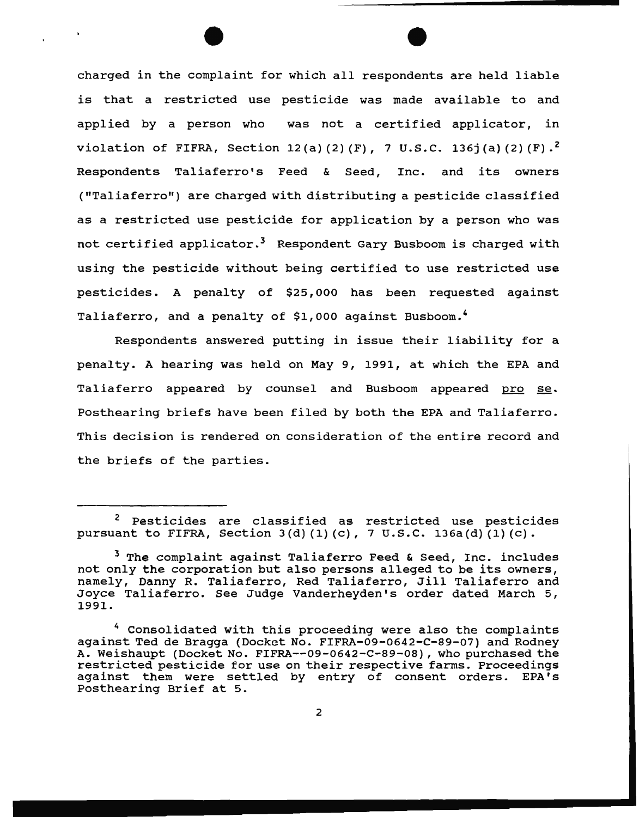charged in the complaint for which all respondents are held liable is that a restricted use pesticide was made available to and applied by a person who was not a certified applicator, in violation of FIFRA, Section 12(a)(2)(F), 7 U.S.C. 136j(a)(2)(F).<sup>2</sup> Respondents Taliaferro's Feed & Seed, Inc. and its owners ("Taliaferro") are charged with distributing a pesticide classified as a restricted use pesticide for application by a person who was not certified applicator.<sup>3</sup> Respondent Gary Busboom is charged with using the pesticide without being certified to use restricted use pesticides. A penalty of \$25,000 has been requested against Taliaferro, and a penalty of \$1,000 against Busboom.<sup>4</sup>

Respondents answered putting in issue their liability for a penalty. A hearing was held on May 9, 1991, at which the EPA and Taliaferro appeared by counsel and Busboom appeared pro se. Posthearing briefs have been filed by both the EPA and Taliaferro. This decision is rendered on consideration of the entire record and the briefs of the parties.

<sup>2</sup> Pesticides are classified as restricted use pesticides pursuant to FIFRA, Section  $3(d)$  (1) (c), 7 U.S.C. 136a(d)(1) (c).

<sup>&</sup>lt;sup>3</sup> The complaint against Taliaferro Feed & Seed, Inc. includes not only the corporation but also persons alleged to be its owners, namely, Danny R. Taliaferro, Red Taliaferro, Jill Taliaferro and Joyce Taliaferro. See Judge Vanderheyden's order dated March 5, 1991.

<sup>4</sup> Consolidated with this proceeding were also the complaints against Ted de Bragga (Docket No. FIFRA-09-0642-C-89-07} and Rodney A. Weishaupt (Docket No. FIFRA--09-0642-C-89-08), who purchased the restricted pesticide for use on their respective farms. Proceedings against them were settled by entry of consent orders. EPA's Posthearing Brief at 5.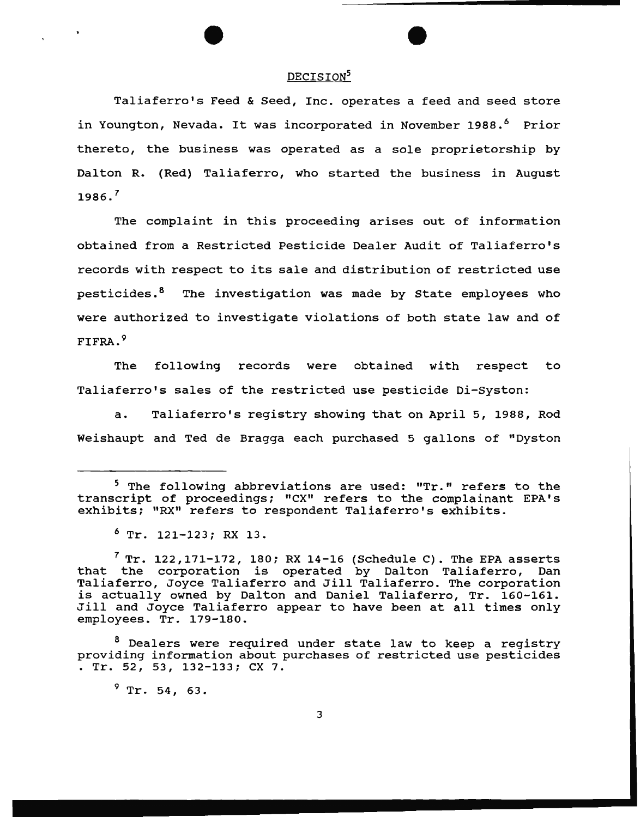### DECISION<sup>5</sup>

Taliaferro's Feed & Seed, Inc. operates a feed and seed store in Youngton, Nevada. It was incorporated in November 1988.<sup>6</sup> Prior thereto, the business was operated as a sole proprietorship by Dalton R. {Red) Taliaferro, who started the business in August  $1986.$ <sup>7</sup>

The complaint in this proceeding arises out of information obtained from a Restricted Pesticide Dealer Audit of Taliaferro's records with respect to its sale and distribution of restricted use pesticides.<sup>8</sup> The investigation was made by State employees who were authorized to investigate violations of both state law and of FIFRA. 9

The following records were obtained with respect to Taliaferro's sales of the restricted use pesticide Di-Syston:

a. Taliaferro's registry showing that on April 5, 1988, Rod Weishaupt and Ted de Bragga each purchased 5 gallons of "Dyston

 $9$  Tr. 54, 63.

<sup>&</sup>lt;sup>5</sup> The following abbreviations are used: "Tr." refers to the transcript of proceedings; "CX" refers to the complainant EPA's exhibits; "RX" refers to respondent Taliaferro's exhibits.

<sup>6</sup> Tr. 121-123; RX 13.

<sup>&</sup>lt;sup>7</sup> Tr. 122,171-172, 180; RX 14-16 (Schedule C). The EPA asserts that the corporation is operated by Dalton Taliaferro, Dan Taliaferro, Joyce Taliaferro and Jill Taliaferro. The corporation is actually owned by Dalton and Daniel Taliaferro, Tr. 160-161. Jill and Joyce Taliaferro appear to have been at all times only employees. Tr. 179-180.

<sup>8</sup> Dealers were required under state law to keep a registry providing information about purchases of restricted use pesticides . Tr. 52, 53, 132-133; ex 7.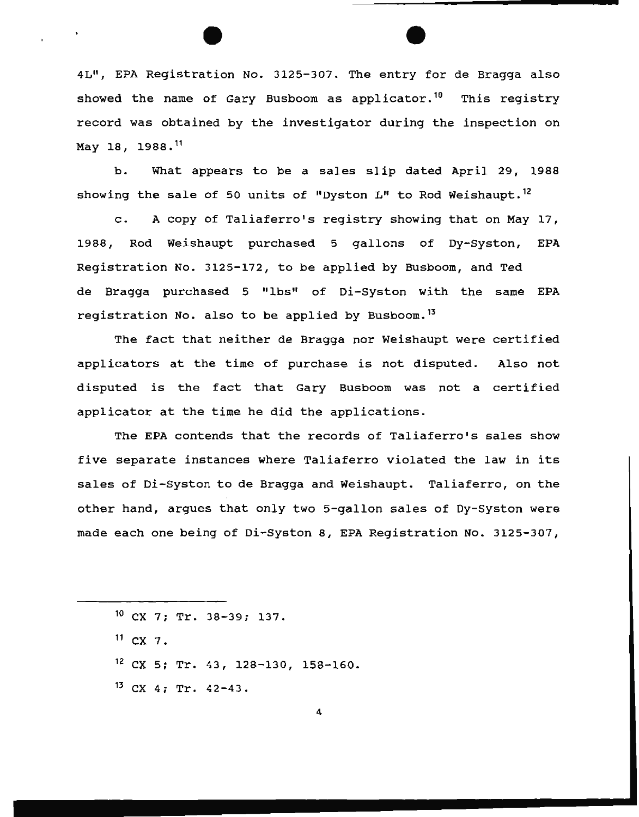4L", EPA Registration No. 3125-307. The entry for de Bragga also showed the name of Gary Busboom as applicator.<sup>10</sup> This registry record was obtained by the investigator during the inspection on May 18, 1988. <sup>11</sup>

b. What appears to be a sales slip dated April 29, 1988 showing the sale of 50 units of "Dyston L" to Rod Weishaupt.<sup>12</sup>

c. A copy of Taliaferro's registry showing that on May 17, 1988, Rod Weishaupt purchased 5 gallons of Dy-Syston, EPA Registration No. 3125-172, to be applied by Busboom, and Ted de Bragga purchased 5 "lbs" of Di-syston with the same EPA registration No. also to be applied by Busboom.<sup>13</sup>

The fact that neither de Bragga nor Weishaupt were certified applicators at the time of purchase is not disputed. Also not disputed is the fact that Gary Busboom was not a certified applicator at the time he did the applications.

The EPA contends that the records of Taliaferro's sales show five separate instances where Taliaferro violated the law in its sales of Di-Syston to de Bragga and Weishaupt. Taliaferro, on the other hand, argues that only two 5-gallon sales of Dy-Syston were made each one being of Di-Syston 8, EPA Registration No. 3125-307,

 $11$  CX 7.

 $12$  CX 5; Tr. 43, 128-130, 158-160.

 $13$  CX 4; Tr. 42-43.

 $10$  CX 7; Tr. 38-39; 137.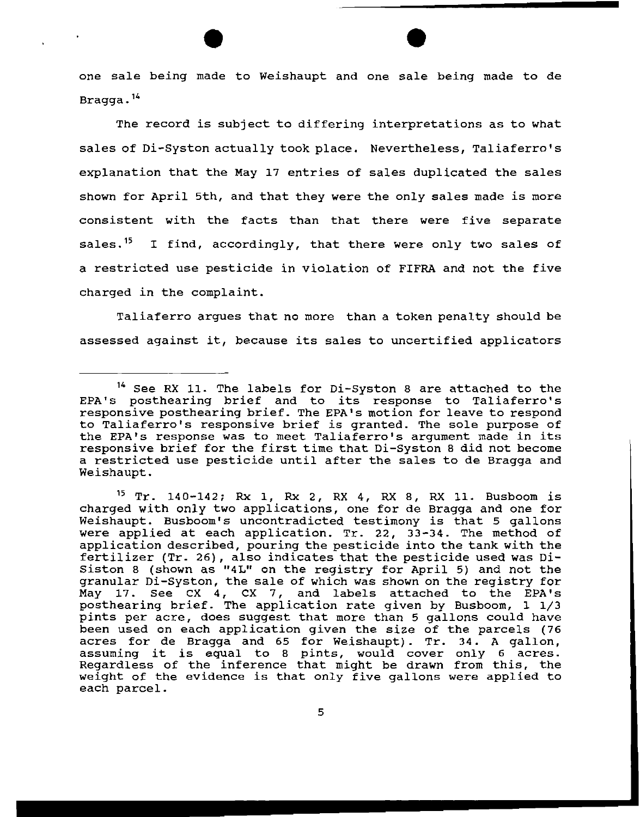one sale being made to Weishaupt and one sale being made to de Bragga. <sup>14</sup>

The record is subject to differing interpretations as to what sales of Di-Syston actually took place. Nevertheless, Taliaferro's explanation that the May 17 entries of sales duplicated the sales shown for April 5th, and that they were the only sales made is more consistent with the facts than that there were five separate sales.<sup>15</sup> I find, accordingly, that there were only two sales of a restricted use pesticide in violation of FIFRA and not the five charged in the complaint.

Taliaferro argues that no more than a token penalty should be assessed against it, because its sales to uncertified applicators

<sup>14</sup> See RX 11. The labels for Di-syston 8 are attached to the EPA's posthearing brief and to its response to Taliaferro's responsive posthearing brief. The EPA's motion for leave to respond to Taliaferro's responsive brief is granted. The sole purpose of the EPA's response was to meet Taliaferro's argument made in its responsive brief for the first time that Di-Syston 8 did not become a restricted use pesticide until after the sales to de Bragga and Weishaupt.

<sup>15</sup> Tr. 140-142; Rx 1, Rx 2, RX 4, RX 8, RX 11. Busboom is charged with only two applications, one for de Bragga and one for Weishaupt. Busboom's uncontradicted testimony is that 5 gallons were applied at each application. Tr. 22, 33-34. The method of application described, pouring the pesticide into the tank with the fertilizer (Tr. 26), also indicates that the pesticide used was *Di-*Siston 8 (shown as "4L" on the registry for April 5) and not the granular Di-Syston, the sale of which was shown on the registry for May 17. see ex 4, ex 7, and labels attached to the EPA's posthearing brief. The application rate given by Busboom, 1 1/3 pints per acre, does suggest that more than 5 gallons could have been used on each application given the *size* of the parcels (76 acres for de Bragga and 65 for Weishaupt) . Tr. 34. A gallon, acres for de Bragga and 65 for Weishaupt). Tr. 34. A gallon,<br>assuming it is equal to 8 pints, would cover only 6 acres. assuming it is equal to a pints, would cover only a acres.<br>Regardless of the inference that might be drawn from this, the weight of the evidence is that only five gallons were applied to each parcel.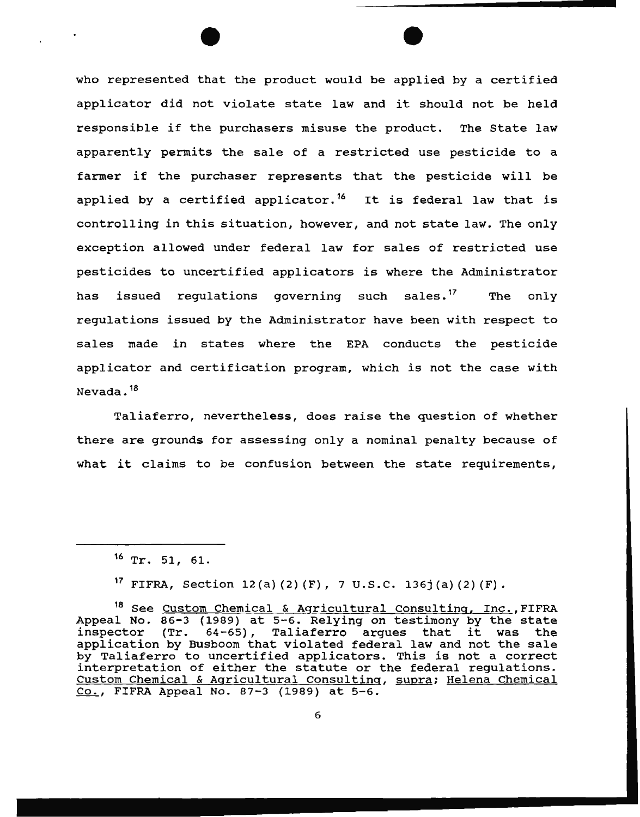who represented that the product would be applied by a certified applicator did not violate state law and it should not be held responsible if the purchasers misuse the product. The State law apparently permits the sale of a restricted use pesticide to a farmer if the purchaser represents that the pesticide will be applied by a certified applicator.<sup>16</sup> It is federal law that is controlling in this situation, however, and not state law. The only exception allowed under federal law for sales of restricted use pesticides to uncertified applicators is where the Administrator has issued requlations governing such sales.<sup>17</sup> The only regulations issued by the Administrator have been with respect to sales made in states where the EPA conducts the pesticide applicator and certification program, which is not the case with Nevada. <sup>18</sup>

Taliaferro, nevertheless, does raise the question of whether there are grounds for assessing only a nominal penalty because of what it claims to be confusion between the state requirements,

<sup>17</sup> FIFRA, Section 12(a)(2)(F), 7 U.S.C. 136j(a)(2)(F).

 $16$  Tr. 51, 61.

<sup>&</sup>lt;sup>18</sup> See Custom Chemical & Agricultural Consulting, Inc., FIFRA Appeal No.  $86-3$  (1989) at 5-6. Relying on testimony by the state inspector (Tr.  $64-65$ ), Taliaferro arques that it was the  $(Tr. 64-65)$ , Taliaferro argues that it was the application by Busboom that violated federal law and not the sale by Taliaferro to uncertified applicators. This is not a correct interpretation of either the statute or the federal regulations. Custom Chemical & Agricultural Consulting, supra; Helena Chemical Co., FIFRA Appeal No. 87-3 (1989) at 5-6.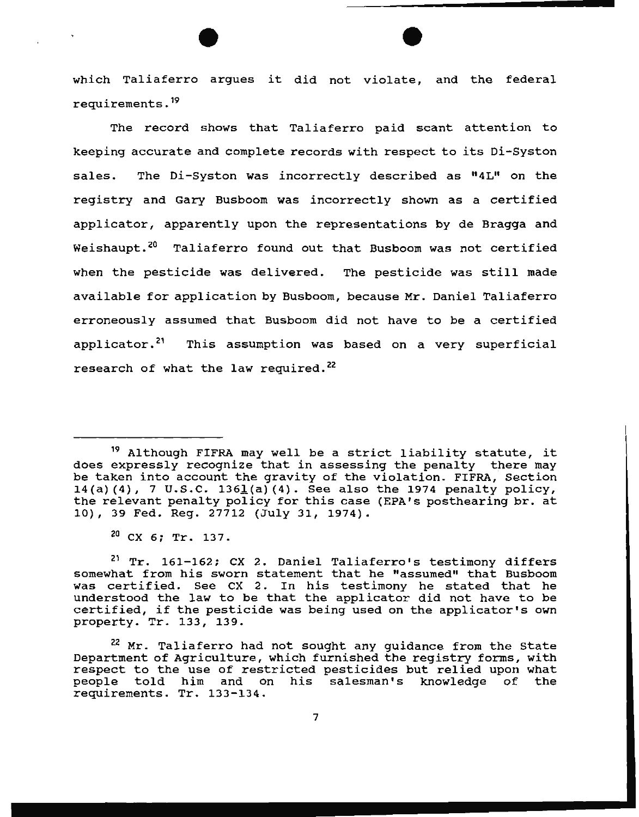which Taliaferro argues it did not violate, and the federal requirements. 19

The record shows that Taliaferro paid scant attention to keeping accurate and complete records with respect to its Di-Syston sales. The Oi-Syston was incorrectly described as "4L" on the registry and Gary Busboom was incorrectly shown as a certified applicator, apparently upon the representations by de Bragga and Weishaupt.<sup>20</sup> Taliaferro found out that Busboom was not certified when the pesticide was delivered. The pesticide was still made available for application by Busboom, because Mr. Daniel Taliaferro erroneously assumed that Busboom did not have to be a certified applicator.<sup>21</sup> This assumption was based on a very superficial research of what the law required.<sup>22</sup>

7

<sup>19</sup> Although FIFRA may well be a strict liability statute, it does expressly recognize that in assessing the penalty there may be taken into account the gravity of the violation. FIFRA, Section 14(a) (4), 7 U.S.C. 136 $\underline{1}$ (a) (4). See also the 1974 penalty policy, the relevant penalty policy for this case (EPA's posthearing br. at 10), 39 Fed. Reg. 27712 (July 31, 1974).

 $^{20}$  CX 6; Tr. 137.

 $21$  Tr. 161-162; CX 2. Daniel Taliaferro's testimony differs somewhat from his sworn statement that he "assumed" that Busboom was certified. See ex 2. In his testimony he stated that he understood the law to be that the applicator did not have to be certified, if the pesticide was being used on the applicator's own property. Tr. 133, 139.

<sup>&</sup>lt;sup>22</sup> Mr. Taliaferro had not sought any guidance from the State Department of Agriculture, which furnished the registry forms, with respect to the use of restricted pesticides but relied upon what people told him and on his salesman's knowledge of the requirements. Tr. 133-134.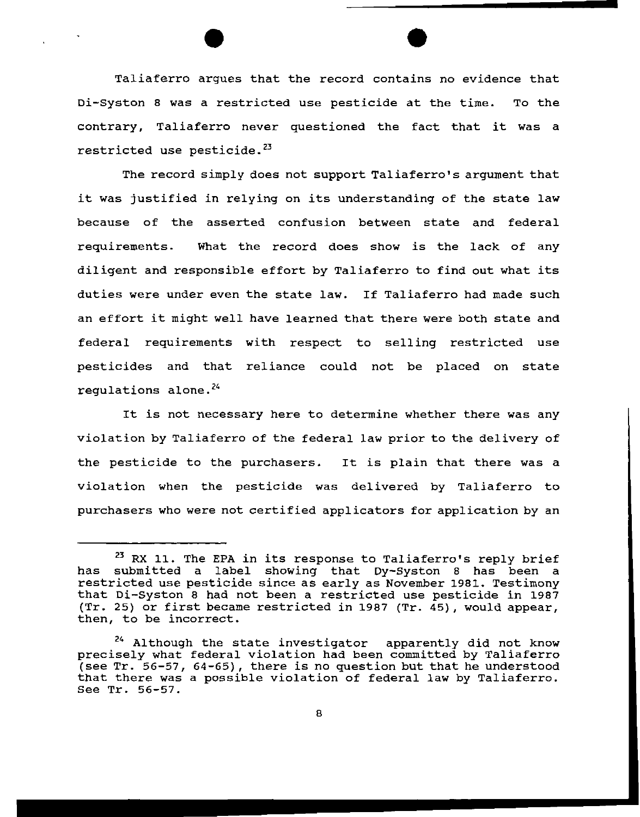Taliaferro argues that the record contains no evidence that Di-syston 8 was a restricted use pesticide at the time. To the contrary, Taliaferro never questioned the fact that it was a restricted use pesticide.<sup>23</sup>

The record simply does not support Taliaferro's argument that it was justified in relying on its understanding of the state law because of the asserted confusion between state and federal requirements. What the record does show is the lack of any diligent and responsible effort by Taliaferro to find out what its duties were under even the state law. If Taliaferro had made such an effort it might well have learned that there were both state and federal requirements with respect to selling restricted use pesticides and that reliance could not be placed on state regulations alone. $24$ 

It is not necessary here to determine whether there was any violation by Taliaferro of the federal law prior to the delivery of the pesticide to the purchasers. It is plain that there was a violation when the pesticide was delivered by Taliaferro to purchasers who were not certified applicators for application by an

<sup>&</sup>lt;sup>23</sup> RX 11. The EPA in its response to Taliaferro's reply brief has submitted a label showing that Dy-Syston 8 has been a restricted use pesticide since as early as November 1981. Testimony that Di-Syston 8 had not been a restricted use pesticide in 1987 (Tr. 25) or first became restricted in 1987 (Tr. 45), would appear, then, to be incorrect.

<sup>&</sup>lt;sup>24</sup> Although the state investigator apparently did not know precisely what federal violation had been committed by Taliaferro (see Tr. 56-57, 64-65), there is no question but that he understood that there was a possible violation of federal law by Taliaferro. See Tr. 56-57.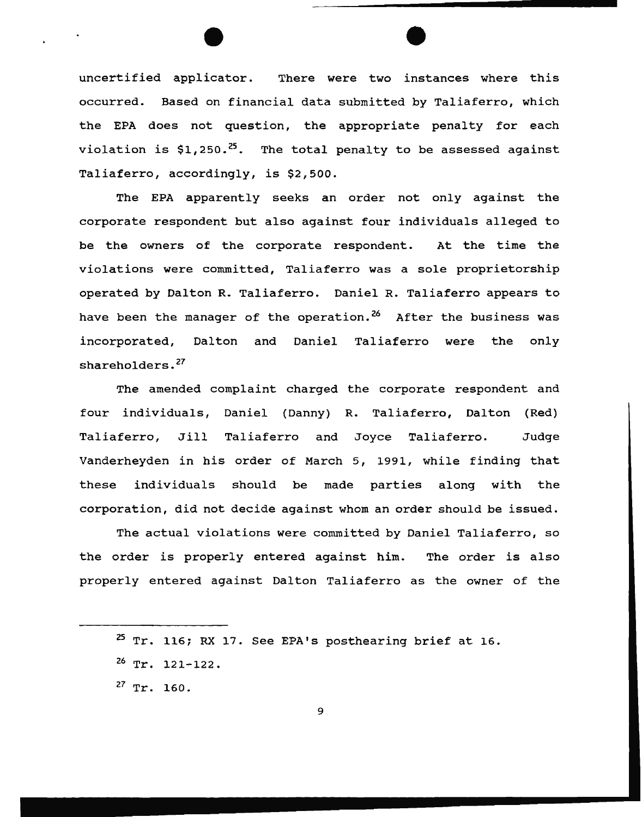uncertified applicator. There were two instances where this occurred. Based on financial data submitted by Taliaferro, which the EPA does not question, the appropriate penalty for each violation is  $$1,250.^25$ . The total penalty to be assessed against Taliaferro, accordingly, is \$2,500.

The EPA apparently seeks an order not only against the corporate respondent but also against four individuals alleged to be the owners of the corporate respondent. At the time the violations were committed, Taliaferro was a sole proprietorship operated by Dalton R. Taliaferro. Daniel R. Taliaferro appears to have been the manager of the operation.<sup>26</sup> After the business was incorporated, Dalton and Daniel Taliaferro were the only shareholders.<sup>27</sup>

The amended complaint charged the corporate respondent and four individuals, Daniel (Danny) R. Taliaferro, Dalton (Red) Taliaferro, Jill Taliaferro and Joyce Taliaferro. Judge Vanderheyden in his order of March 5, 1991, while finding that these individuals should be made parties along with the corporation, did not decide against whom an order should be issued.

The actual violations were committed by Daniel Taliaferro, so the order is properly entered against him. The order is also properly entered against Dalton Taliaferro as the owner of the

<sup>25</sup> Tr. 116; RX 17. See EPA's posthearing brief at 16.

 $26$  Tr. 121-122.

 $27$  Tr. 160.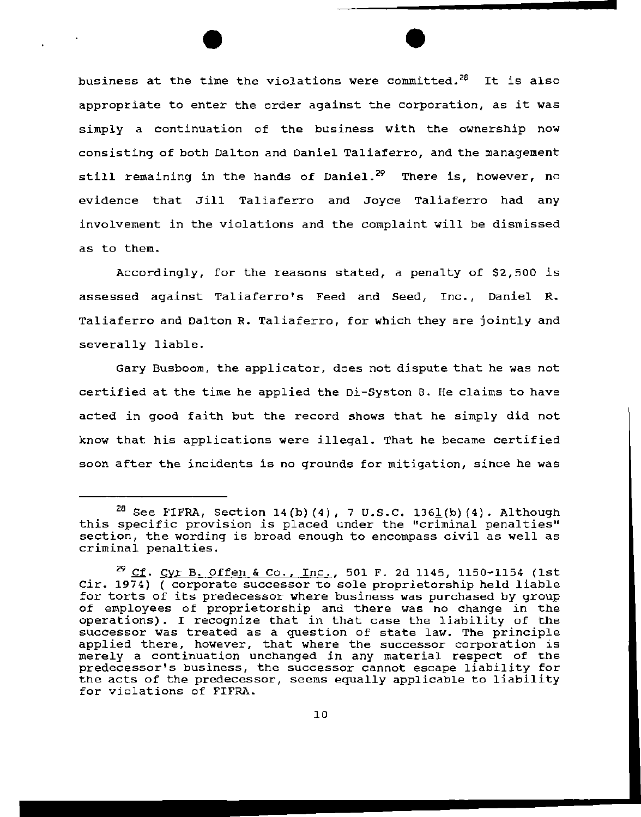$\bullet$ business at the time the violations were committed.<sup>28</sup> It is also appropriate to enter the order against the corporation, as it was simply a continuation of the business with the ownership now consisting of both Dalton and Daniel Taliaferro, and the management still remaining in the hands of Daniel.<sup>29</sup> There is, however, no evidence that Jill Taliaferro and Joyce Taliaferro had any involvement in the violations and the complaint will be dismissed as to them.

Accordingly, for the reasons stated, a penalty of \$2,500 is assessed against Taliaferro's Feed and Seed, Inc., Daniel R. Taliaferro and Dalton R. Taliaferro, for which they are jointly and severally liable.

Gary Busboom, the applicator, does not dispute that he was not certified at the time he applied the Di-Syston 8. He claims to have acted in good faith but the record shows that he simply did not know that his applications were illegal. That he became certified soon after the incidents *is* no grounds for mitigation, since he was

<sup>&</sup>lt;sup>28</sup> See FIFRA, Section 14(b)(4), 7 U.S.C. 1361(b)(4). Although this specific provision is placed under the "criminal penalties" section, the wording is broad enough to encompass civil as well as criminal penalties.

 $^{29}$  Cf. Cyr B. Offen & Co., Inc., 501 F. 2d 1145, 1150-1154 (1st Cir. 1974) ( corporate successor to sole proprietorship held liable for torts of its predecessor where business was purchased by group of employees of proprietorship and there was no change in the operations). I recognize that in that case the liability of the successor was treated as a question of state law. The principle applied there, however, that where the successor corporation is merely a continuation unchanged *in* any material respect of the predecessor's business, the successor cannot escape liability for the acts of the predecessor, seems equally applicable to liability for violations of FIFRA.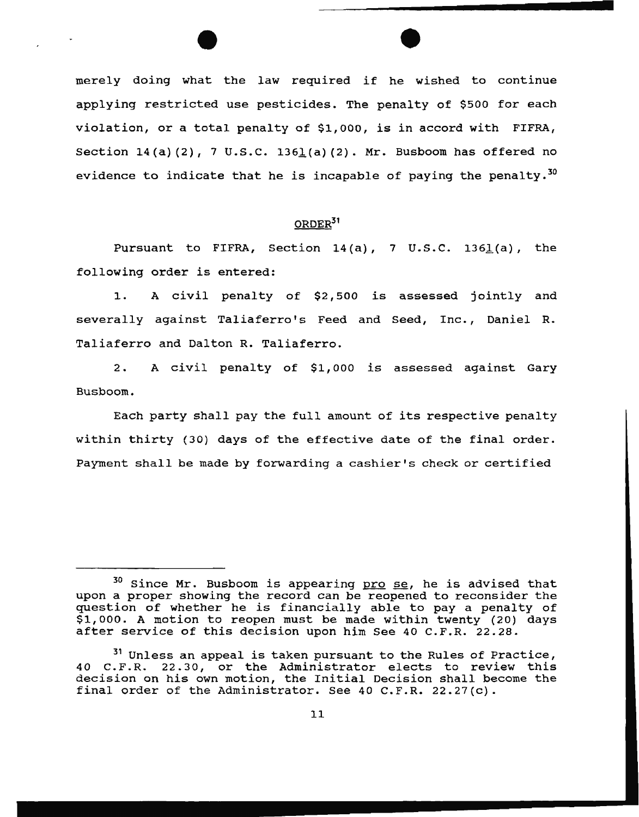$\bullet$ merely doing what the law required if he wished to continue applying restricted use pesticides. The penalty of \$500 for each violation, or a total penalty of \$1,000, is in accord with FIFRA, Section  $14(a)(2)$ , 7 U.S.C. 1361 $(a)(2)$ . Mr. Busboom has offered no evidence to indicate that he is incapable of paying the penalty.<sup>30</sup>

## ORDER31

Pursuant to FIFRA, Section  $14(a)$ , 7 U.S.C. 1361(a), the following order is entered:

1. A civil penalty of \$2,500 is assessed jointly and severally against Taliaferro's Feed and Seed, Inc., Daniel R. Taliaferro and Dalton R. Taliaferro.

2. A civil penalty of \$1,000 is assessed against Gary Busboom.

Each party shall pay the full amount of its respective penalty within thirty (30) days of the effective date of the final order. Payment shall be made by forwarding a cashier's check or certified

<sup>&</sup>lt;sup>30</sup> Since Mr. Busboom is appearing pro se, he is advised that upon a proper showing the record can be reopened to reconsider the question of whether he is financially able to pay a penalty of \$1,000. A motion to reopen must be made within twenty (20) days after service of this decision upon him See 40 C.F.R. 22.28.

<sup>31</sup> Unless an appeal is taken pursuant to the Rules of Practice, 40 C.F.R. 22.30, or the Administrator elects to review this decision on his own motion, the Initial Decision shall become the final order of the Administrator. See 40 C.F.R. 22.27(c).